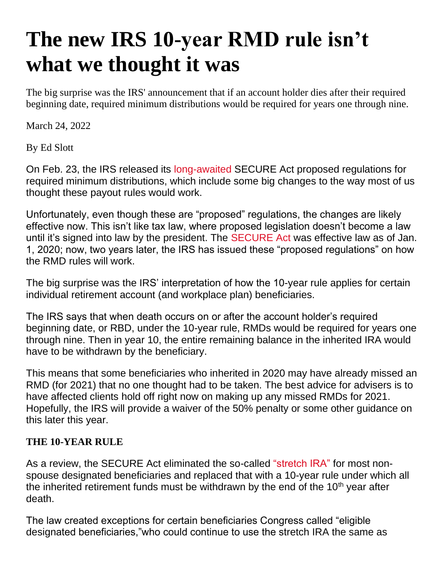# **The new IRS 10-year RMD rule isn't what we thought it was**

The big surprise was the IRS' announcement that if an account holder dies after their required beginning date, required minimum distributions would be required for years one through nine.

March 24, 2022

By Ed Slott

On Feb. 23, the IRS released its [long-awaited](https://www.investmentnews.com/irs-says-rmd-rules-are-coming-soon-207171) SECURE Act proposed regulations for required minimum distributions, which include some big changes to the way most of us thought these payout rules would work.

Unfortunately, even though these are "proposed" regulations, the changes are likely effective now. This isn't like tax law, where proposed legislation doesn't become a law until it's signed into law by the president. The [SECURE Act](https://www.investmentnews.com/who-benefits-from-secure-act-187855) was effective law as of Jan. 1, 2020; now, two years later, the IRS has issued these "proposed regulations" on how the RMD rules will work.

The big surprise was the IRS' interpretation of how the 10-year rule applies for certain individual retirement account (and workplace plan) beneficiaries.

The IRS says that when death occurs on or after the account holder's required beginning date, or RBD, under the 10-year rule, RMDs would be required for years one through nine. Then in year 10, the entire remaining balance in the inherited IRA would have to be withdrawn by the beneficiary.

This means that some beneficiaries who inherited in 2020 may have already missed an RMD (for 2021) that no one thought had to be taken. The best advice for advisers is to have affected clients hold off right now on making up any missed RMDs for 2021. Hopefully, the IRS will provide a waiver of the 50% penalty or some other guidance on this later this year.

#### **THE 10-YEAR RULE**

As a review, the SECURE Act eliminated the so-called ["stretch IRA"](https://www.investmentnews.com/no-stretch-ira-no-problem-189118) for most nonspouse designated beneficiaries and replaced that with a 10-year rule under which all the inherited retirement funds must be withdrawn by the end of the  $10<sup>th</sup>$  year after death.

The law created exceptions for certain beneficiaries Congress called "eligible designated beneficiaries,"who could continue to use the stretch IRA the same as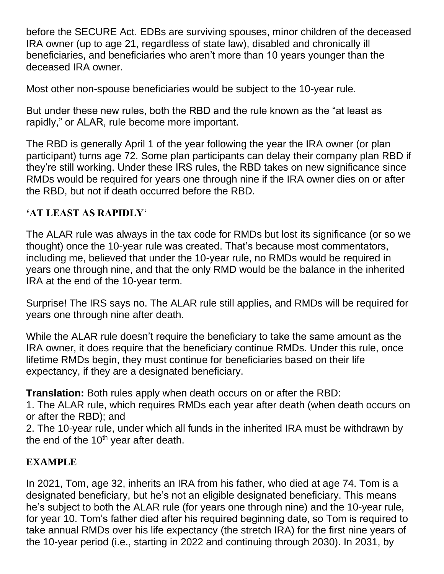before the SECURE Act. EDBs are surviving spouses, minor children of the deceased IRA owner (up to age 21, regardless of state law), disabled and chronically ill beneficiaries, and beneficiaries who aren't more than 10 years younger than the deceased IRA owner.

Most other non-spouse beneficiaries would be subject to the 10-year rule.

But under these new rules, both the RBD and the rule known as the "at least as rapidly," or ALAR, rule become more important.

The RBD is generally April 1 of the year following the year the IRA owner (or plan participant) turns age 72. Some plan participants can delay their company plan RBD if they're still working. Under these IRS rules, the RBD takes on new significance since RMDs would be required for years one through nine if the IRA owner dies on or after the RBD, but not if death occurred before the RBD.

#### **'AT LEAST AS RAPIDLY**'

The ALAR rule was always in the tax code for RMDs but lost its significance (or so we thought) once the 10-year rule was created. That's because most commentators, including me, believed that under the 10-year rule, no RMDs would be required in years one through nine, and that the only RMD would be the balance in the inherited IRA at the end of the 10-year term.

Surprise! The IRS says no. The ALAR rule still applies, and RMDs will be required for years one through nine after death.

While the ALAR rule doesn't require the beneficiary to take the same amount as the IRA owner, it does require that the beneficiary continue RMDs. Under this rule, once lifetime RMDs begin, they must continue for beneficiaries based on their life expectancy, if they are a designated beneficiary.

**Translation:** Both rules apply when death occurs on or after the RBD:

1. The ALAR rule, which requires RMDs each year after death (when death occurs on or after the RBD); and

2. The 10-year rule, under which all funds in the inherited IRA must be withdrawn by the end of the  $10<sup>th</sup>$  year after death.

# **EXAMPLE**

In 2021, Tom, age 32, inherits an IRA from his father, who died at age 74. Tom is a designated beneficiary, but he's not an eligible designated beneficiary. This means he's subject to both the ALAR rule (for years one through nine) and the 10-year rule, for year 10. Tom's father died after his required beginning date, so Tom is required to take annual RMDs over his life expectancy (the stretch IRA) for the first nine years of the 10-year period (i.e., starting in 2022 and continuing through 2030). In 2031, by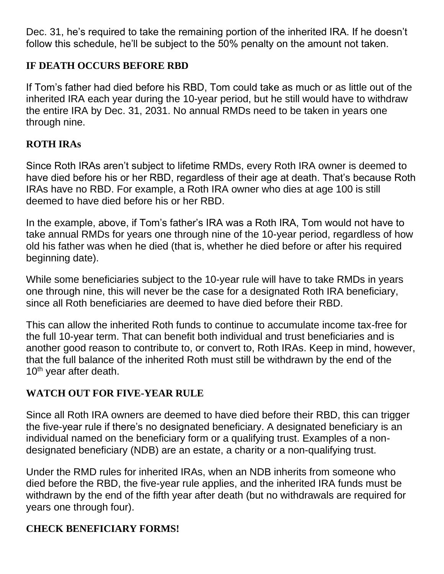Dec. 31, he's required to take the remaining portion of the inherited IRA. If he doesn't follow this schedule, he'll be subject to the 50% penalty on the amount not taken.

#### **IF DEATH OCCURS BEFORE RBD**

If Tom's father had died before his RBD, Tom could take as much or as little out of the inherited IRA each year during the 10-year period, but he still would have to withdraw the entire IRA by Dec. 31, 2031. No annual RMDs need to be taken in years one through nine.

# **ROTH IRAs**

Since Roth IRAs aren't subject to lifetime RMDs, every Roth IRA owner is deemed to have died before his or her RBD, regardless of their age at death. That's because Roth IRAs have no RBD. For example, a Roth IRA owner who dies at age 100 is still deemed to have died before his or her RBD.

In the example, above, if Tom's father's IRA was a Roth IRA, Tom would not have to take annual RMDs for years one through nine of the 10-year period, regardless of how old his father was when he died (that is, whether he died before or after his required beginning date).

While some beneficiaries subject to the 10-year rule will have to take RMDs in years one through nine, this will never be the case for a designated Roth IRA beneficiary, since all Roth beneficiaries are deemed to have died before their RBD.

This can allow the inherited Roth funds to continue to accumulate income tax-free for the full 10-year term. That can benefit both individual and trust beneficiaries and is another good reason to contribute to, or convert to, Roth IRAs. Keep in mind, however, that the full balance of the inherited Roth must still be withdrawn by the end of the  $10<sup>th</sup>$  year after death.

# **WATCH OUT FOR FIVE-YEAR RULE**

Since all Roth IRA owners are deemed to have died before their RBD, this can trigger the five-year rule if there's no designated beneficiary. A designated beneficiary is an individual named on the beneficiary form or a qualifying trust. Examples of a nondesignated beneficiary (NDB) are an estate, a charity or a non-qualifying trust.

Under the RMD rules for inherited IRAs, when an NDB inherits from someone who died before the RBD, the five-year rule applies, and the inherited IRA funds must be withdrawn by the end of the fifth year after death (but no withdrawals are required for years one through four).

# **CHECK BENEFICIARY FORMS!**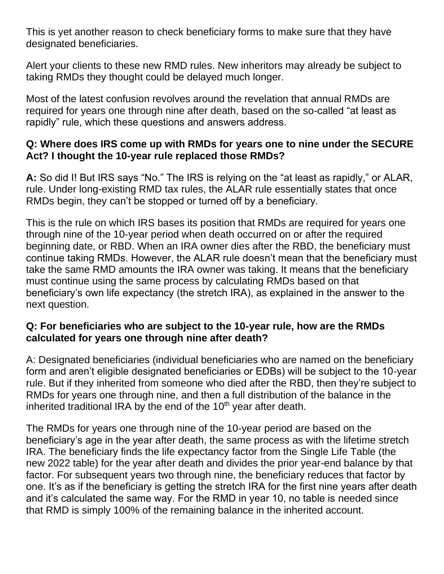This is yet another reason to check beneficiary forms to make sure that they have designated beneficiaries.

Alert your clients to these new RMD rules. New inheritors may already be subject to taking RMDs they thought could be delayed much longer.

Most of the latest confusion revolves around the revelation that annual RMDs are required for years one through nine after death, based on the so-called "at least as rapidly" rule, which these questions and answers address.

#### **Q: Where does IRS come up with RMDs for years one to nine under the SECURE Act? I thought the 10-year rule replaced those RMDs?**

**A:** So did I! But IRS says "No." The IRS is relying on the "at least as rapidly," or ALAR, rule. Under long-existing RMD tax rules, the ALAR rule essentially states that once RMDs begin, they can't be stopped or turned off by a beneficiary.

This is the rule on which IRS bases its position that RMDs are required for years one through nine of the 10-year period when death occurred on or after the required beginning date, or RBD. When an IRA owner dies after the RBD, the beneficiary must continue taking RMDs. However, the ALAR rule doesn't mean that the beneficiary must take the same RMD amounts the IRA owner was taking. It means that the beneficiary must continue using the same process by calculating RMDs based on that beneficiary's own life expectancy (the stretch IRA), as explained in the answer to the next question.

#### **Q: For beneficiaries who are subject to the 10-year rule, how are the RMDs calculated for years one through nine after death?**

A: Designated beneficiaries (individual beneficiaries who are named on the beneficiary form and aren't eligible designated beneficiaries or EDBs) will be subject to the 10-year rule. But if they inherited from someone who died after the RBD, then they're subject to RMDs for years one through nine, and then a full distribution of the balance in the inherited traditional IRA by the end of the  $10<sup>th</sup>$  year after death.

The RMDs for years one through nine of the 10-year period are based on the beneficiary's age in the year after death, the same process as with the lifetime stretch IRA. The beneficiary finds the life expectancy factor from the Single Life Table (the new 2022 table) for the year after death and divides the prior year-end balance by that factor. For subsequent years two through nine, the beneficiary reduces that factor by one. It's as if the beneficiary is getting the stretch IRA for the first nine years after death and it's calculated the same way. For the RMD in year 10, no table is needed since that RMD is simply 100% of the remaining balance in the inherited account.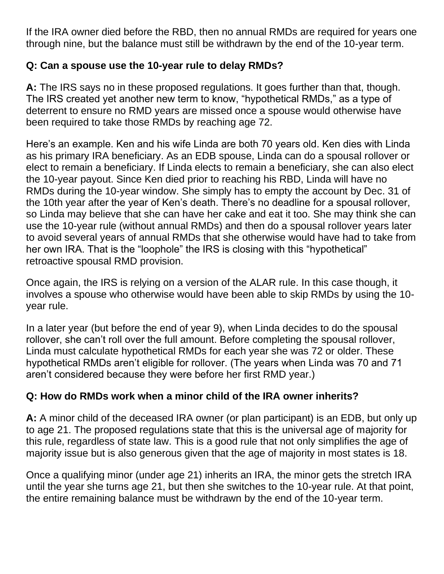If the IRA owner died before the RBD, then no annual RMDs are required for years one through nine, but the balance must still be withdrawn by the end of the 10-year term.

#### **Q: Can a spouse use the 10-year rule to delay RMDs?**

**A:** The IRS says no in these proposed regulations. It goes further than that, though. The IRS created yet another new term to know, "hypothetical RMDs," as a type of deterrent to ensure no RMD years are missed once a spouse would otherwise have been required to take those RMDs by reaching age 72.

Here's an example. Ken and his wife Linda are both 70 years old. Ken dies with Linda as his primary IRA beneficiary. As an EDB spouse, Linda can do a spousal rollover or elect to remain a beneficiary. If Linda elects to remain a beneficiary, she can also elect the 10-year payout. Since Ken died prior to reaching his RBD, Linda will have no RMDs during the 10-year window. She simply has to empty the account by Dec. 31 of the 10th year after the year of Ken's death. There's no deadline for a spousal rollover, so Linda may believe that she can have her cake and eat it too. She may think she can use the 10-year rule (without annual RMDs) and then do a spousal rollover years later to avoid several years of annual RMDs that she otherwise would have had to take from her own IRA. That is the "loophole" the IRS is closing with this "hypothetical" retroactive spousal RMD provision.

Once again, the IRS is relying on a version of the ALAR rule. In this case though, it involves a spouse who otherwise would have been able to skip RMDs by using the 10 year rule.

In a later year (but before the end of year 9), when Linda decides to do the spousal rollover, she can't roll over the full amount. Before completing the spousal rollover, Linda must calculate hypothetical RMDs for each year she was 72 or older. These hypothetical RMDs aren't eligible for rollover. (The years when Linda was 70 and 71 aren't considered because they were before her first RMD year.)

# **Q: How do RMDs work when a minor child of the IRA owner inherits?**

**A:** A minor child of the deceased IRA owner (or plan participant) is an EDB, but only up to age 21. The proposed regulations state that this is the universal age of majority for this rule, regardless of state law. This is a good rule that not only simplifies the age of majority issue but is also generous given that the age of majority in most states is 18.

Once a qualifying minor (under age 21) inherits an IRA, the minor gets the stretch IRA until the year she turns age 21, but then she switches to the 10-year rule. At that point, the entire remaining balance must be withdrawn by the end of the 10-year term.